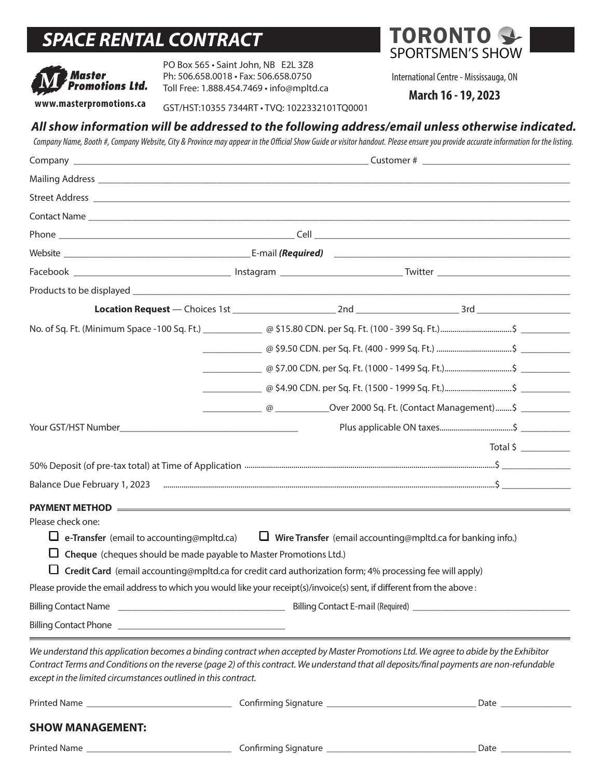# *SPACE RENTAL CONTRACT*



PO Box 565 • Saint John, NB E2L 3Z8 Ph: 506.658.0018 • Fax: 506.658.0750 Toll Free: 1.888.454.7469 • info@mpltd.ca GOST/HST:1035.17469 • info@mpltd.ca<br>Www.masterpromotions.ca GST/HST:10355 7344RT • TVQ: 1022332101TQ0001 March 16 - 19, 2023

TORONTO<sup>®</sup> SPORTSMEN'S SHOW

International Centre - Mississauga, ON

# *All show information will be addressed to the following address/email unless otherwise indicated.*

*Company Name, Booth #, Company Website, City & Province may appear in the Official Show Guide or visitor handout. Please ensure you provide accurate information for the listing.*

| Company _                                                                                                                                                                                                                                                                                                                                           |                                                                                                |  |
|-----------------------------------------------------------------------------------------------------------------------------------------------------------------------------------------------------------------------------------------------------------------------------------------------------------------------------------------------------|------------------------------------------------------------------------------------------------|--|
|                                                                                                                                                                                                                                                                                                                                                     |                                                                                                |  |
|                                                                                                                                                                                                                                                                                                                                                     |                                                                                                |  |
|                                                                                                                                                                                                                                                                                                                                                     |                                                                                                |  |
|                                                                                                                                                                                                                                                                                                                                                     |                                                                                                |  |
|                                                                                                                                                                                                                                                                                                                                                     |                                                                                                |  |
|                                                                                                                                                                                                                                                                                                                                                     |                                                                                                |  |
|                                                                                                                                                                                                                                                                                                                                                     |                                                                                                |  |
|                                                                                                                                                                                                                                                                                                                                                     |                                                                                                |  |
|                                                                                                                                                                                                                                                                                                                                                     |                                                                                                |  |
|                                                                                                                                                                                                                                                                                                                                                     |                                                                                                |  |
|                                                                                                                                                                                                                                                                                                                                                     |                                                                                                |  |
|                                                                                                                                                                                                                                                                                                                                                     |                                                                                                |  |
|                                                                                                                                                                                                                                                                                                                                                     | ___________________@ ________________Over 2000 Sq. Ft. (Contact Management)………\$ _____________ |  |
|                                                                                                                                                                                                                                                                                                                                                     |                                                                                                |  |
|                                                                                                                                                                                                                                                                                                                                                     |                                                                                                |  |
|                                                                                                                                                                                                                                                                                                                                                     |                                                                                                |  |
|                                                                                                                                                                                                                                                                                                                                                     |                                                                                                |  |
| Please check one:<br>$\Box$ e-Transfer (email to accounting@mpltd.ca) $\Box$ Wire Transfer (email accounting@mpltd.ca for banking info.)<br>$\Box$ Cheque (cheques should be made payable to Master Promotions Ltd.)<br>$\Box$ Credit Card (email accounting@mpltd.ca for credit card authorization form; 4% processing fee will apply)             |                                                                                                |  |
| Please provide the email address to which you would like your receipt(s)/invoice(s) sent, if different from the above :                                                                                                                                                                                                                             |                                                                                                |  |
|                                                                                                                                                                                                                                                                                                                                                     |                                                                                                |  |
|                                                                                                                                                                                                                                                                                                                                                     |                                                                                                |  |
| We understand this application becomes a binding contract when accepted by Master Promotions Ltd. We agree to abide by the Exhibitor<br>Contract Terms and Conditions on the reverse (page 2) of this contract. We understand that all deposits/final payments are non-refundable<br>except in the limited circumstances outlined in this contract. |                                                                                                |  |
|                                                                                                                                                                                                                                                                                                                                                     |                                                                                                |  |
| <b>SHOW MANAGEMENT:</b>                                                                                                                                                                                                                                                                                                                             |                                                                                                |  |
|                                                                                                                                                                                                                                                                                                                                                     |                                                                                                |  |
|                                                                                                                                                                                                                                                                                                                                                     |                                                                                                |  |